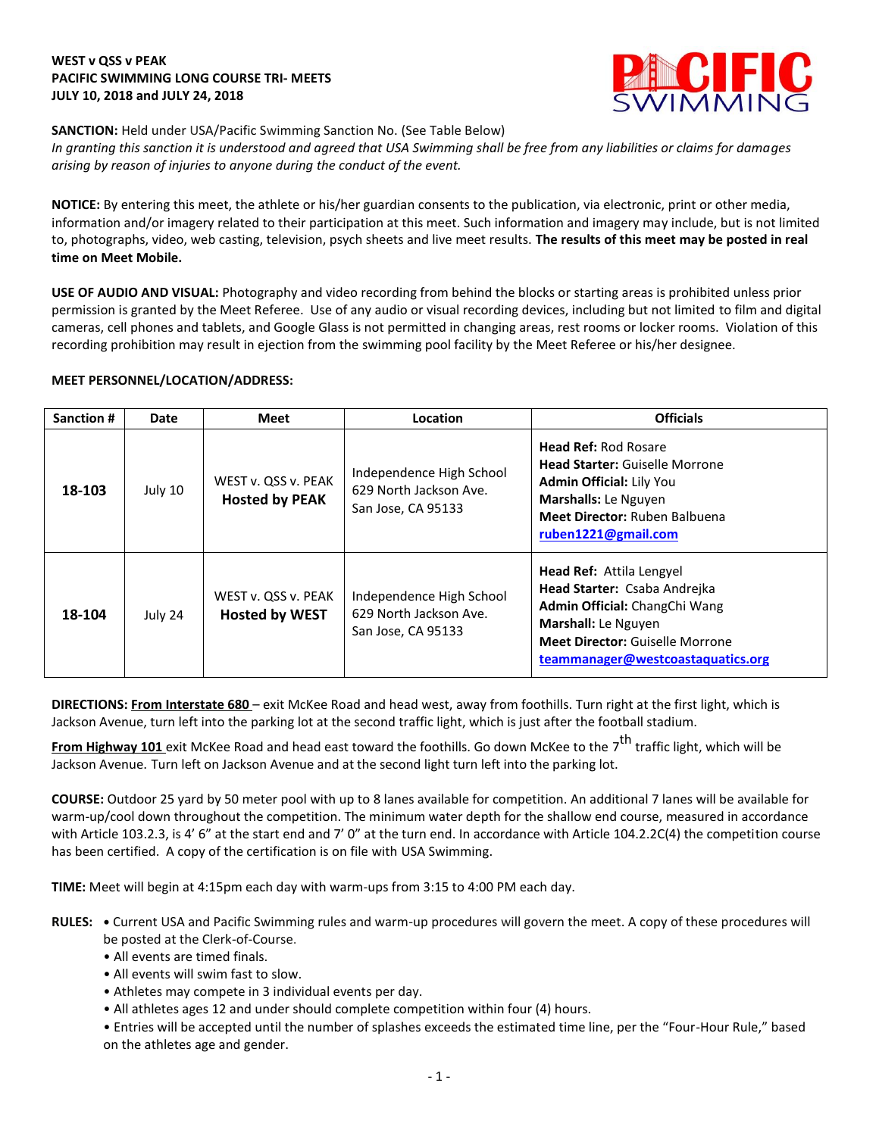## **WEST v QSS v PEAK PACIFIC SWIMMING LONG COURSE TRI- MEETS JULY 10, 2018 and JULY 24, 2018**



**SANCTION:** Held under USA/Pacific Swimming Sanction No. (See Table Below) *In granting this sanction it is understood and agreed that USA Swimming shall be free from any liabilities or claims for damages arising by reason of injuries to anyone during the conduct of the event.* 

**NOTICE:** By entering this meet, the athlete or his/her guardian consents to the publication, via electronic, print or other media, information and/or imagery related to their participation at this meet. Such information and imagery may include, but is not limited to, photographs, video, web casting, television, psych sheets and live meet results. **The results of this meet may be posted in real time on Meet Mobile.**

**USE OF AUDIO AND VISUAL:** Photography and video recording from behind the blocks or starting areas is prohibited unless prior permission is granted by the Meet Referee. Use of any audio or visual recording devices, including but not limited to film and digital cameras, cell phones and tablets, and Google Glass is not permitted in changing areas, rest rooms or locker rooms. Violation of this recording prohibition may result in ejection from the swimming pool facility by the Meet Referee or his/her designee.

## **MEET PERSONNEL/LOCATION/ADDRESS:**

| <b>Sanction #</b> | Date    | <b>Meet</b>                                  | Location                                                                 | <b>Officials</b>                                                                                                                                                                                       |
|-------------------|---------|----------------------------------------------|--------------------------------------------------------------------------|--------------------------------------------------------------------------------------------------------------------------------------------------------------------------------------------------------|
| 18-103            | July 10 | WEST v. QSS v. PEAK<br><b>Hosted by PEAK</b> | Independence High School<br>629 North Jackson Ave.<br>San Jose, CA 95133 | <b>Head Ref: Rod Rosare</b><br><b>Head Starter: Guiselle Morrone</b><br><b>Admin Official: Lily You</b><br>Marshalls: Le Nguyen<br>Meet Director: Ruben Balbuena<br>ruben1221@gmail.com                |
| 18-104            | July 24 | WEST v. QSS v. PEAK<br><b>Hosted by WEST</b> | Independence High School<br>629 North Jackson Ave.<br>San Jose, CA 95133 | <b>Head Ref: Attila Lengyel</b><br>Head Starter: Csaba Andrejka<br>Admin Official: ChangChi Wang<br>Marshall: Le Nguyen<br><b>Meet Director: Guiselle Morrone</b><br>teammanager@westcoastaquatics.org |

**DIRECTIONS: From Interstate 680** – exit McKee Road and head west, away from foothills. Turn right at the first light, which is Jackson Avenue, turn left into the parking lot at the second traffic light, which is just after the football stadium.

**From Highway 101** exit McKee Road and head east toward the foothills. Go down McKee to the 7<sup>th</sup> traffic light, which will be Jackson Avenue. Turn left on Jackson Avenue and at the second light turn left into the parking lot.

**COURSE:** Outdoor 25 yard by 50 meter pool with up to 8 lanes available for competition. An additional 7 lanes will be available for warm-up/cool down throughout the competition. The minimum water depth for the shallow end course, measured in accordance with Article 103.2.3, is 4' 6" at the start end and 7' 0" at the turn end. In accordance with Article 104.2.2C(4) the competition course has been certified. A copy of the certification is on file with USA Swimming.

**TIME:** Meet will begin at 4:15pm each day with warm-ups from 3:15 to 4:00 PM each day.

- **RULES: •** Current USA and Pacific Swimming rules and warm-up procedures will govern the meet. A copy of these procedures will be posted at the Clerk-of-Course.
	- All events are timed finals.
	- All events will swim fast to slow.
	- Athletes may compete in 3 individual events per day.
	- All athletes ages 12 and under should complete competition within four (4) hours.

• Entries will be accepted until the number of splashes exceeds the estimated time line, per the "Four-Hour Rule," based on the athletes age and gender.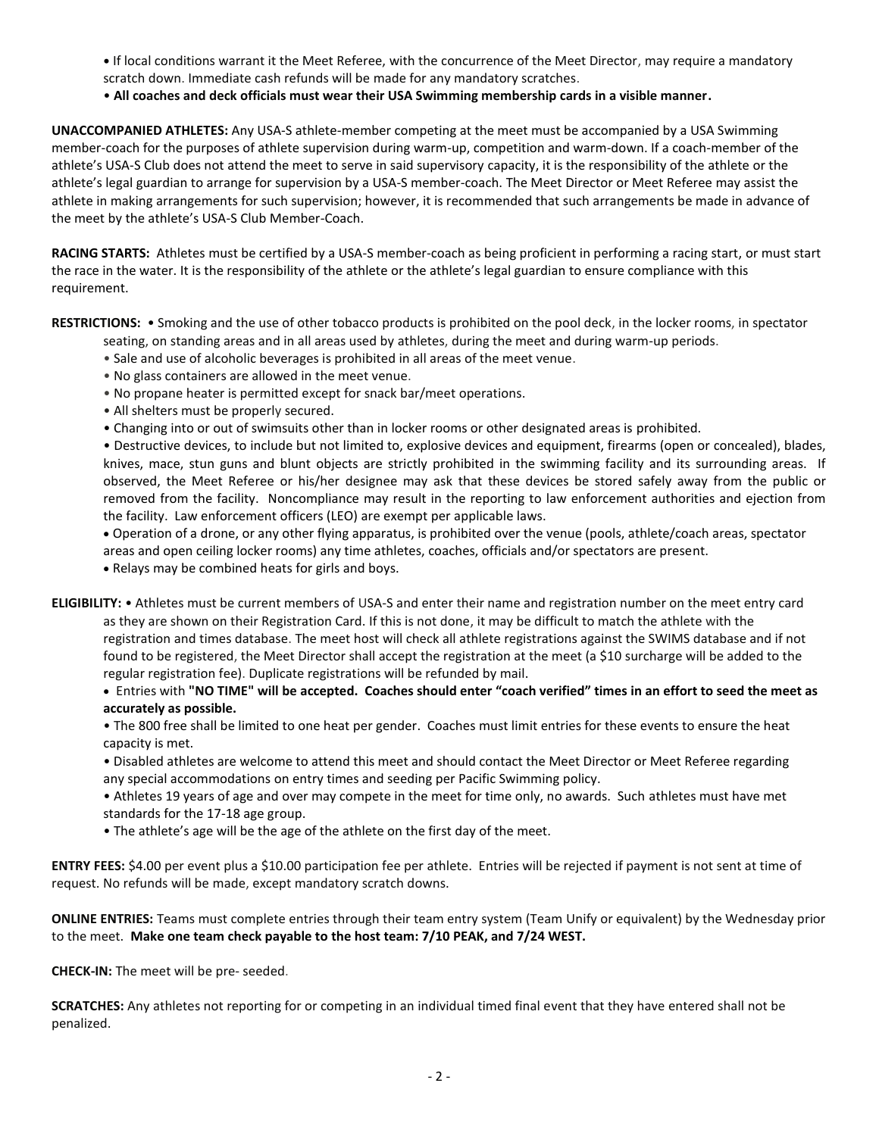- **•** If local conditions warrant it the Meet Referee, with the concurrence of the Meet Director, may require a mandatory scratch down. Immediate cash refunds will be made for any mandatory scratches.
- **All coaches and deck officials must wear their USA Swimming membership cards in a visible manner.**

**UNACCOMPANIED ATHLETES:** Any USA-S athlete-member competing at the meet must be accompanied by a USA Swimming member-coach for the purposes of athlete supervision during warm-up, competition and warm-down. If a coach-member of the athlete's USA-S Club does not attend the meet to serve in said supervisory capacity, it is the responsibility of the athlete or the athlete's legal guardian to arrange for supervision by a USA-S member-coach. The Meet Director or Meet Referee may assist the athlete in making arrangements for such supervision; however, it is recommended that such arrangements be made in advance of the meet by the athlete's USA-S Club Member-Coach.

**RACING STARTS:** Athletes must be certified by a USA-S member-coach as being proficient in performing a racing start, or must start the race in the water. It is the responsibility of the athlete or the athlete's legal guardian to ensure compliance with this requirement.

**RESTRICTIONS:** • Smoking and the use of other tobacco products is prohibited on the pool deck, in the locker rooms, in spectator seating, on standing areas and in all areas used by athletes, during the meet and during warm-up periods.

- Sale and use of alcoholic beverages is prohibited in all areas of the meet venue.
- No glass containers are allowed in the meet venue.
- No propane heater is permitted except for snack bar/meet operations.
- All shelters must be properly secured.
- Changing into or out of swimsuits other than in locker rooms or other designated areas is prohibited.

• Destructive devices, to include but not limited to, explosive devices and equipment, firearms (open or concealed), blades, knives, mace, stun guns and blunt objects are strictly prohibited in the swimming facility and its surrounding areas. If observed, the Meet Referee or his/her designee may ask that these devices be stored safely away from the public or removed from the facility. Noncompliance may result in the reporting to law enforcement authorities and ejection from the facility. Law enforcement officers (LEO) are exempt per applicable laws.

 Operation of a drone, or any other flying apparatus, is prohibited over the venue (pools, athlete/coach areas, spectator areas and open ceiling locker rooms) any time athletes, coaches, officials and/or spectators are present.

Relays may be combined heats for girls and boys.

**ELIGIBILITY:** • Athletes must be current members of USA-S and enter their name and registration number on the meet entry card as they are shown on their Registration Card. If this is not done, it may be difficult to match the athlete with the registration and times database. The meet host will check all athlete registrations against the SWIMS database and if not found to be registered, the Meet Director shall accept the registration at the meet (a \$10 surcharge will be added to the regular registration fee). Duplicate registrations will be refunded by mail.

 Entries with **"NO TIME" will be accepted. Coaches should enter "coach verified" times in an effort to seed the meet as accurately as possible.**

• The 800 free shall be limited to one heat per gender. Coaches must limit entries for these events to ensure the heat capacity is met.

- Disabled athletes are welcome to attend this meet and should contact the Meet Director or Meet Referee regarding any special accommodations on entry times and seeding per Pacific Swimming policy.
- Athletes 19 years of age and over may compete in the meet for time only, no awards. Such athletes must have met standards for the 17-18 age group.
- The athlete's age will be the age of the athlete on the first day of the meet.

**ENTRY FEES:** \$4.00 per event plus a \$10.00 participation fee per athlete. Entries will be rejected if payment is not sent at time of request. No refunds will be made, except mandatory scratch downs.

**ONLINE ENTRIES:** Teams must complete entries through their team entry system (Team Unify or equivalent) by the Wednesday prior to the meet. **Make one team check payable to the host team: 7/10 PEAK, and 7/24 WEST.**

**CHECK-IN:** The meet will be pre- seeded.

**SCRATCHES:** Any athletes not reporting for or competing in an individual timed final event that they have entered shall not be penalized.